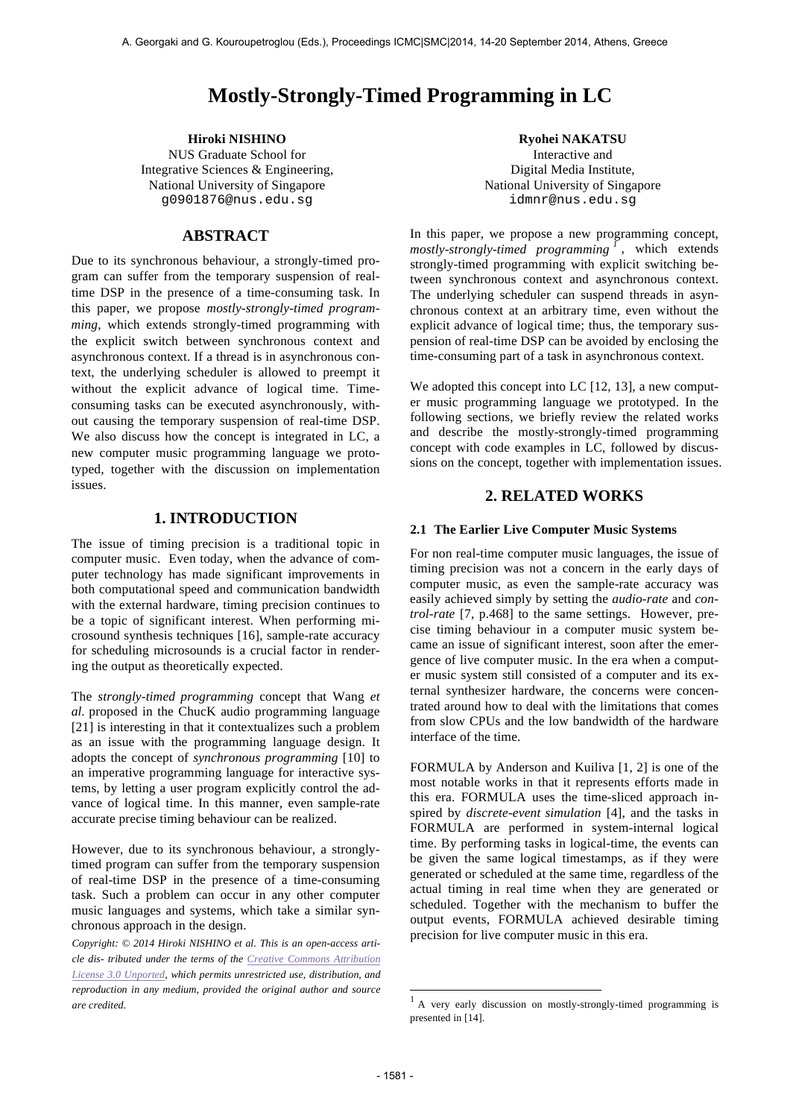# **Mostly-Strongly-Timed Programming in LC**

NUS Graduate School for Integrative Sciences & Engineering, National University of Singapore g0901876@nus.edu.sg

## **ABSTRACT**

Due to its synchronous behaviour, a strongly-timed program can suffer from the temporary suspension of realtime DSP in the presence of a time-consuming task. In this paper, we propose *mostly-strongly-timed programming*, which extends strongly-timed programming with the explicit switch between synchronous context and asynchronous context. If a thread is in asynchronous context, the underlying scheduler is allowed to preempt it without the explicit advance of logical time. Timeconsuming tasks can be executed asynchronously, without causing the temporary suspension of real-time DSP. We also discuss how the concept is integrated in LC, a new computer music programming language we prototyped, together with the discussion on implementation issues.

## **1. INTRODUCTION**

The issue of timing precision is a traditional topic in computer music. Even today, when the advance of computer technology has made significant improvements in both computational speed and communication bandwidth with the external hardware, timing precision continues to be a topic of significant interest. When performing microsound synthesis techniques [16], sample-rate accuracy for scheduling microsounds is a crucial factor in rendering the output as theoretically expected.

The *strongly-timed programming* concept that Wang *et al.* proposed in the ChucK audio programming language [21] is interesting in that it contextualizes such a problem as an issue with the programming language design. It adopts the concept of *synchronous programming* [10] to an imperative programming language for interactive systems, by letting a user program explicitly control the advance of logical time. In this manner, even sample-rate accurate precise timing behaviour can be realized.

However, due to its synchronous behaviour, a stronglytimed program can suffer from the temporary suspension of real-time DSP in the presence of a time-consuming task. Such a problem can occur in any other computer music languages and systems, which take a similar synchronous approach in the design.

 *Copyright: © 2014 Hiroki NISHINO et al. This is an open-access article dis- tributed under the terms of the Creative Commons Attribution License 3.0 Unported, which permits unrestricted use, distribution, and reproduction in any medium, provided the original author and source are credited.*

**Hiroki NISHINO Ryohei NAKATSU** Interactive and Digital Media Institute, National University of Singapore idmnr@nus.edu.sg

> In this paper, we propose a new programming concept, *mostly-strongly-timed programming <sup>1</sup>* , which extends strongly-timed programming with explicit switching between synchronous context and asynchronous context. The underlying scheduler can suspend threads in asynchronous context at an arbitrary time, even without the explicit advance of logical time; thus, the temporary suspension of real-time DSP can be avoided by enclosing the time-consuming part of a task in asynchronous context.

> We adopted this concept into LC [12, 13], a new computer music programming language we prototyped. In the following sections, we briefly review the related works and describe the mostly-strongly-timed programming concept with code examples in LC, followed by discussions on the concept, together with implementation issues.

## **2. RELATED WORKS**

#### **2.1 The Earlier Live Computer Music Systems**

For non real-time computer music languages, the issue of timing precision was not a concern in the early days of computer music, as even the sample-rate accuracy was easily achieved simply by setting the *audio-rate* and *control-rate* [7, p.468] to the same settings. However, precise timing behaviour in a computer music system became an issue of significant interest, soon after the emergence of live computer music. In the era when a computer music system still consisted of a computer and its external synthesizer hardware, the concerns were concentrated around how to deal with the limitations that comes from slow CPUs and the low bandwidth of the hardware interface of the time.

FORMULA by Anderson and Kuiliva [1, 2] is one of the most notable works in that it represents efforts made in this era. FORMULA uses the time-sliced approach inspired by *discrete-event simulation* [4], and the tasks in FORMULA are performed in system-internal logical time. By performing tasks in logical-time, the events can be given the same logical timestamps, as if they were generated or scheduled at the same time, regardless of the actual timing in real time when they are generated or scheduled. Together with the mechanism to buffer the output events, FORMULA achieved desirable timing precision for live computer music in this era.

-

<sup>1</sup> A very early discussion on mostly-strongly-timed programming is presented in [14].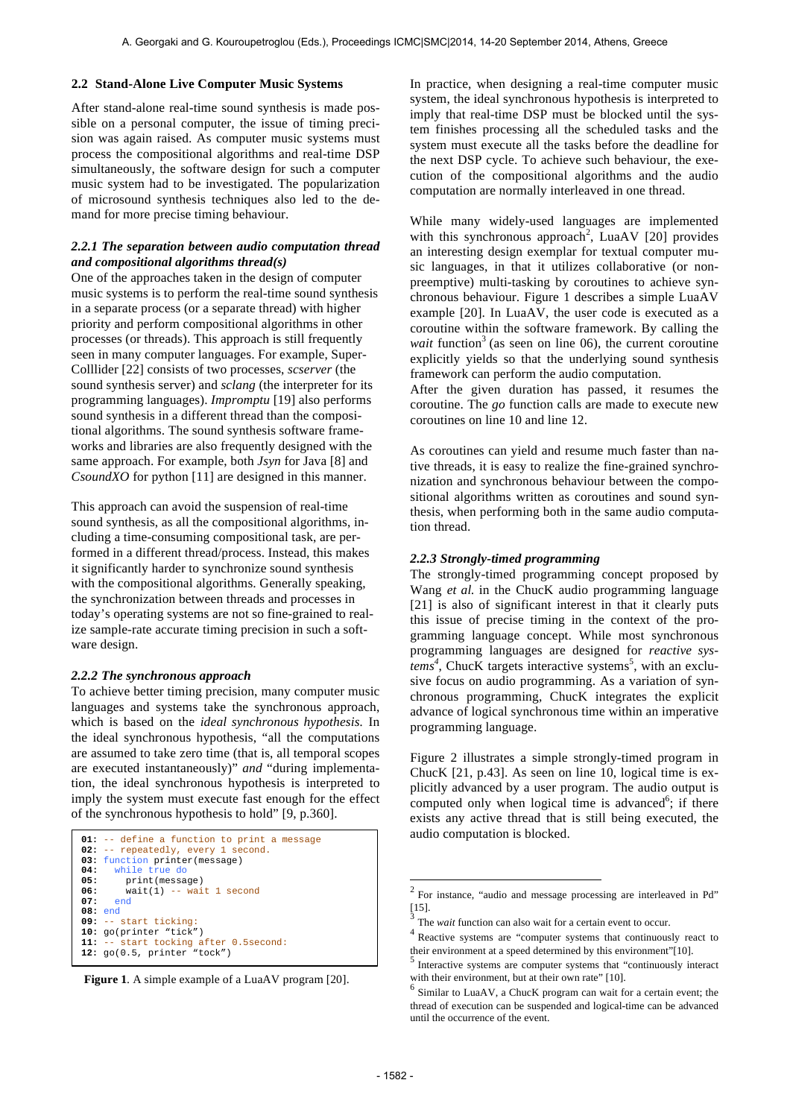#### **2.2 Stand-Alone Live Computer Music Systems**

After stand-alone real-time sound synthesis is made possible on a personal computer, the issue of timing precision was again raised. As computer music systems must process the compositional algorithms and real-time DSP simultaneously, the software design for such a computer music system had to be investigated. The popularization of microsound synthesis techniques also led to the demand for more precise timing behaviour.

## *2.2.1 The separation between audio computation thread and compositional algorithms thread(s)*

One of the approaches taken in the design of computer music systems is to perform the real-time sound synthesis in a separate process (or a separate thread) with higher priority and perform compositional algorithms in other processes (or threads). This approach is still frequently seen in many computer languages. For example, Super-Colllider [22] consists of two processes, *scserver* (the sound synthesis server) and *sclang* (the interpreter for its programming languages). *Impromptu* [19] also performs sound synthesis in a different thread than the compositional algorithms. The sound synthesis software frameworks and libraries are also frequently designed with the same approach. For example, both *Jsyn* for Java [8] and *CsoundXO* for python [11] are designed in this manner.

This approach can avoid the suspension of real-time sound synthesis, as all the compositional algorithms, including a time-consuming compositional task, are performed in a different thread/process. Instead, this makes it significantly harder to synchronize sound synthesis with the compositional algorithms. Generally speaking, the synchronization between threads and processes in today's operating systems are not so fine-grained to realize sample-rate accurate timing precision in such a software design.

#### *2.2.2 The synchronous approach*

To achieve better timing precision, many computer music languages and systems take the synchronous approach, which is based on the *ideal synchronous hypothesis.* In the ideal synchronous hypothesis, "all the computations are assumed to take zero time (that is, all temporal scopes are executed instantaneously)" *and* "during implementation, the ideal synchronous hypothesis is interpreted to imply the system must execute fast enough for the effect of the synchronous hypothesis to hold" [9, p.360].

```
01: -- define a function to print a message<br>02: -- repeatedly, every 1 second.
     -- repeatedly, every 1 second.
03: function printer(message)
        04: while true do
05: print(message)<br>06: wait(1) -- wai
06: wait(1) -- wait 1 second
       07: end
08: end
09: -- start ticking:
10: go(printer "tick")
11: -- start tocking after 0.5second:
12: go(0.5, printer "tock")
```


In practice, when designing a real-time computer music system, the ideal synchronous hypothesis is interpreted to imply that real-time DSP must be blocked until the system finishes processing all the scheduled tasks and the system must execute all the tasks before the deadline for the next DSP cycle. To achieve such behaviour, the execution of the compositional algorithms and the audio computation are normally interleaved in one thread.

While many widely-used languages are implemented with this synchronous approach<sup>2</sup>, LuaAV [20] provides an interesting design exemplar for textual computer music languages, in that it utilizes collaborative (or nonpreemptive) multi-tasking by coroutines to achieve synchronous behaviour. Figure 1 describes a simple LuaAV example [20]. In LuaAV, the user code is executed as a coroutine within the software framework. By calling the *wait* function<sup>3</sup> (as seen on line 06), the current coroutine explicitly yields so that the underlying sound synthesis framework can perform the audio computation.

After the given duration has passed, it resumes the coroutine. The *go* function calls are made to execute new coroutines on line 10 and line 12.

As coroutines can yield and resume much faster than native threads, it is easy to realize the fine-grained synchronization and synchronous behaviour between the compositional algorithms written as coroutines and sound synthesis, when performing both in the same audio computation thread.

#### *2.2.3 Strongly-timed programming*

The strongly-timed programming concept proposed by Wang *et al.* in the ChucK audio programming language [21] is also of significant interest in that it clearly puts this issue of precise timing in the context of the programming language concept. While most synchronous programming languages are designed for *reactive sys* $tems<sup>4</sup>$ , ChucK targets interactive systems<sup>5</sup>, with an exclusive focus on audio programming. As a variation of synchronous programming, ChucK integrates the explicit advance of logical synchronous time within an imperative programming language.

Figure 2 illustrates a simple strongly-timed program in ChucK [21, p.43]. As seen on line 10, logical time is explicitly advanced by a user program. The audio output is computed only when logical time is advanced<sup>6</sup>; if there exists any active thread that is still being executed, the audio computation is blocked.

l

 $2^2$  For instance, "audio and message processing are interleaved in Pd" [15]. <sup>3</sup> The *wait* function can also wait for a certain event to occur.

<sup>&</sup>lt;sup>4</sup> Reactive systems are "computer systems that continuously react to their environment at a speed determined by this environment"[10].

 $5$  Interactive systems are computer systems that "continuously interact with their environment, but at their own rate" [10].<br><sup>6</sup> Similar to LuaAV, a ChucK program can wait for a certain event; the

thread of execution can be suspended and logical-time can be advanced until the occurrence of the event.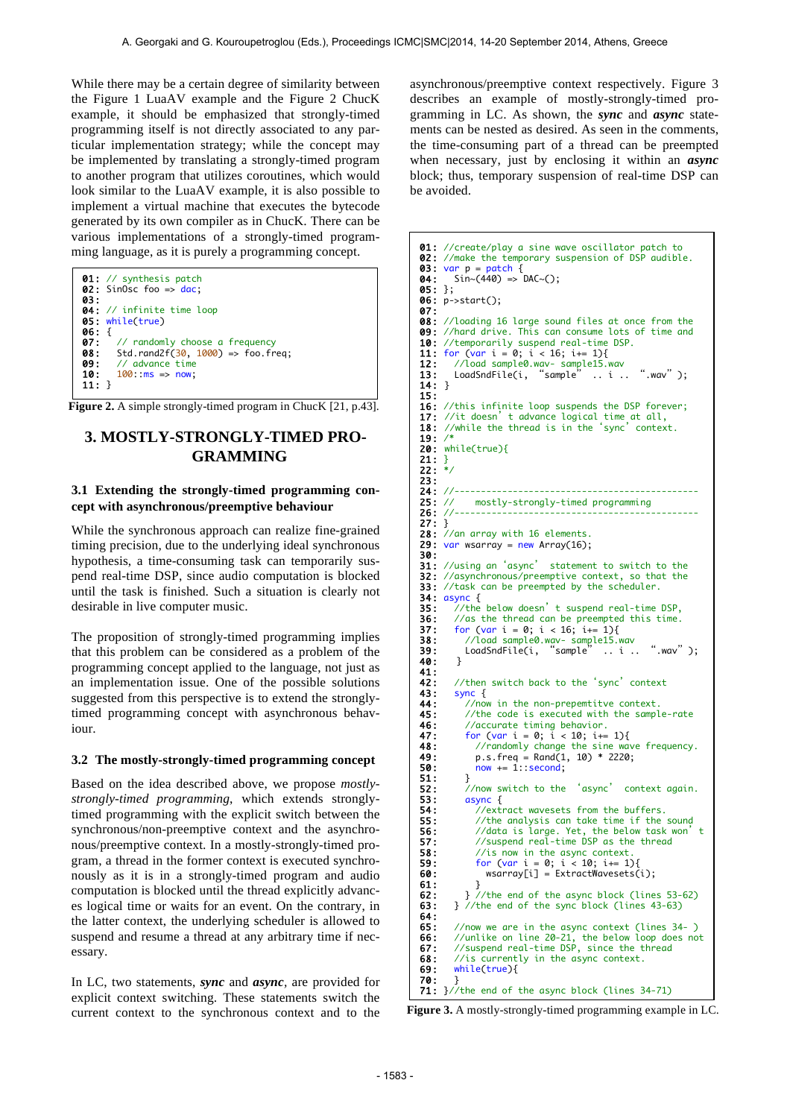While there may be a certain degree of similarity between the Figure 1 LuaAV example and the Figure 2 ChucK example, it should be emphasized that strongly-timed programming itself is not directly associated to any particular implementation strategy; while the concept may be implemented by translating a strongly-timed program to another program that utilizes coroutines, which would look similar to the LuaAV example, it is also possible to implement a virtual machine that executes the bytecode generated by its own compiler as in ChucK. There can be various implementations of a strongly-timed programming language, as it is purely a programming concept.



**Figure 2.** A simple strongly-timed program in ChucK [21, p.43].

## **3. MOSTLY-STRONGLY-TIMED PRO-GRAMMING**

#### **3.1 Extending the strongly-timed programming concept with asynchronous/preemptive behaviour**

While the synchronous approach can realize fine-grained timing precision, due to the underlying ideal synchronous hypothesis, a time-consuming task can temporarily suspend real-time DSP, since audio computation is blocked until the task is finished. Such a situation is clearly not desirable in live computer music.

The proposition of strongly-timed programming implies that this problem can be considered as a problem of the programming concept applied to the language, not just as an implementation issue. One of the possible solutions suggested from this perspective is to extend the stronglytimed programming concept with asynchronous behaviour.

#### **3.2 The mostly-strongly-timed programming concept**

Based on the idea described above, we propose *mostlystrongly-timed programming*, which extends stronglytimed programming with the explicit switch between the synchronous/non-preemptive context and the asynchronous/preemptive context. In a mostly-strongly-timed program, a thread in the former context is executed synchronously as it is in a strongly-timed program and audio computation is blocked until the thread explicitly advances logical time or waits for an event. On the contrary, in the latter context, the underlying scheduler is allowed to suspend and resume a thread at any arbitrary time if necessary.

In LC, two statements, *sync* and *async,* are provided for explicit context switching. These statements switch the current context to the synchronous context and to the asynchronous/preemptive context respectively. Figure 3 describes an example of mostly-strongly-timed programming in LC. As shown, the *sync* and *async* statements can be nested as desired. As seen in the comments, the time-consuming part of a thread can be preempted when necessary, just by enclosing it within an *async* block; thus, temporary suspension of real-time DSP can be avoided.

```
01: //create/play a sine wave oscillator patch to<br>02: //make the temporary suspension of DSP audible.
03: var p = patch {
04: \sin \sim (440) \Rightarrow DAC\sim();
05: };
06:	p->start();
07:<br>08: //loading 16 large sound files at once from the
09: //hard drive. This can consume lots of time and 10: //temporarily suspend real-time DSP.
10: //temporarily suspend real-time DSP.<br>11: for (var i = 0; i < 16; i == 1){
11: for \frac{\text{var}}{i} = 0; i < 16; i == 1)<br>12: //load sample0.wav- sample15.
12: //load sample0.wav- sample15.wav
13: LoadSndFile(i, "sample" .. i .. ".wav");
13: LoadSndFile(i,<br>14: }
15:	
16: //this infinite loop suspends the DSP forever;<br>17: //it doesn't advance logical time at all,
17: //it doesn't advance logical time at all,<br>18: //while the thread is in the 'sync' context.
19: /*	
20: while(true){<br>21: }<br>22: */
21:22:23:			
24: //----------------------------------------------
                mostly-strongly-timed programming
26: //----------------------------------------------
27:	}	
28: \frac{7}{a}n array with 16 elements.<br>29: var wsarray = new Array(16);
      var wsarray = new Array(16);
30:<br>31: //using an 'async'
31: //using an 'async' statement to switch to the<br>32: //asynchronous/preemptive context, so that the
       //asynchronous/preemptive context, so that the
33: //task can be preempted by the scheduler.
34: async {<br>35:   //the below doesn't suspend real-time DSP,
36: //as the thread can be preempted this time.<br>37: for (var i = 0; i < 16; i == 1){
37: for (var i = 0; i < 16; i+= 1){<br>38: //load sample0.wav- sample15.w
38:      //load sample0.wav- sample15.wav<br>39:      LoadSndFile(i, "sample" .. i .. ".wav");
40: }
41:42:42: //then switch back to the 'sync' context<br>43: sync {
43: sync {<br>44: //no
44: //now in the non-prepemtitve context.<br>45: //the code is executed with the sampl
45: //the code is executed with the sample-rate<br>46: //accurate timing behavior.<br>47: for (var i = 0; i < 10; i = 1){
46: //accurate timing behavior.<br>47:       for (var i = 0; i < 10; i+= 1){
48: //randomly change the sine wave frequency.<br>49: p.s. freq = Rand(1, 10) * 2220:
49: p.s.freq = Rand(1, 10) * 2220;<br>50: now += 1::second;\begin{array}{ccc} 51: & & \frac{3}{2} \\ 52: & & \end{array}52: //now switch to the 'async' context again.<br>53: async {<br>54: //extract wavesets from the buffers.<br>55: //the analysis can take time if the sound
             async {
                 //extract wavesets from the buffers
55: //the analysis can take time if the sound<br>56: //data is large. Yet, the below task won'
56: //data is large. Yet, the below task won't<br>57: //suspend real-time DSP as the thread
57: \frac{1}{s} //suspend real-time DSP as the thread 58: \frac{1}{s} // is now in the async context.
58: \frac{1}{59}: \frac{1}{59} for (var i = 0; i < 10; i+= 1){
59: for \text{Var } i = 0; i < 10; i == 1 {<br>60: wsarray[i] = ExtractWavesets(i);<br>61: }
\begin{bmatrix} 61: \quad & \end{bmatrix} //the end of the async block (lines 53-62)
63: } //the end of the sync block (lines 43-63)
64:<br>65:
65: //now we are in the async context (lines 34- )<br>66: //unlike on line 20-21, the below loop does no
66: //unlike on line 20-21, the below loop does not
67: //suspend real-time DSP, since the thread
68: //is currently in the async context.<br>69: while(true){
          while(true)70: }<br>71: }//the end of the async block (lines 34-71)
```
**Figure 3.** A mostly-strongly-timed programming example in LC.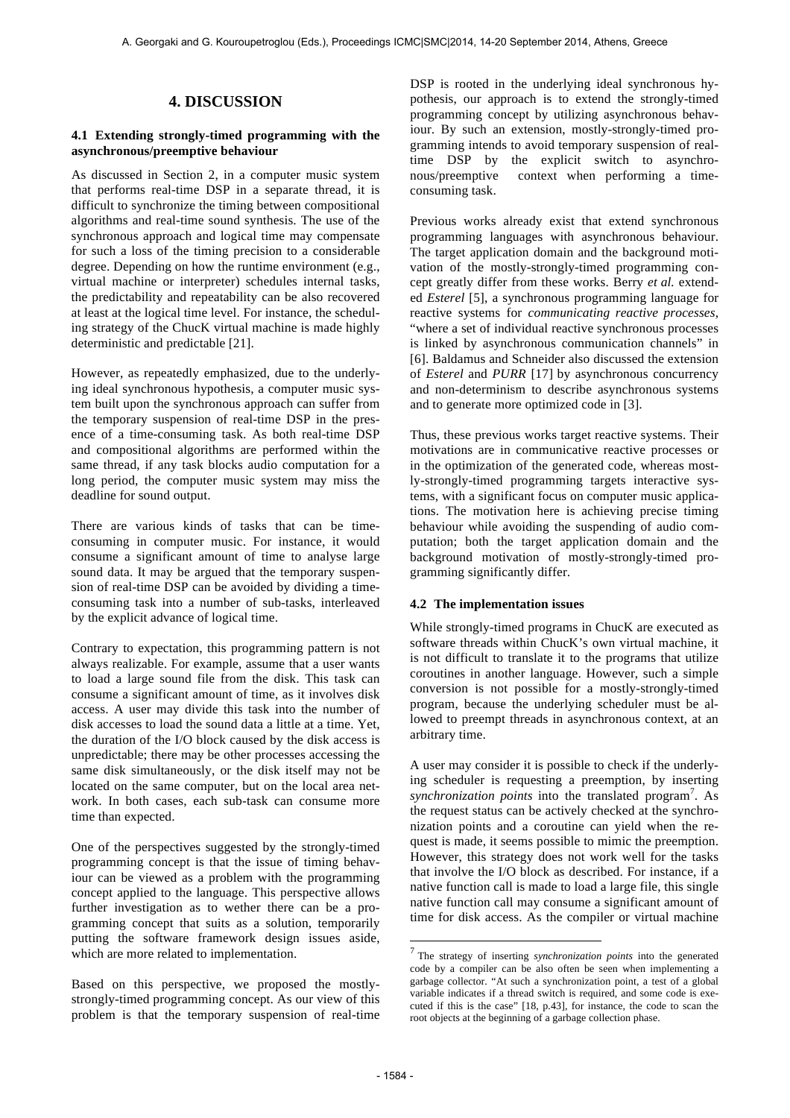## **4. DISCUSSION**

## **4.1 Extending strongly-timed programming with the asynchronous/preemptive behaviour**

As discussed in Section 2, in a computer music system that performs real-time DSP in a separate thread, it is difficult to synchronize the timing between compositional algorithms and real-time sound synthesis. The use of the synchronous approach and logical time may compensate for such a loss of the timing precision to a considerable degree. Depending on how the runtime environment (e.g., virtual machine or interpreter) schedules internal tasks, the predictability and repeatability can be also recovered at least at the logical time level. For instance, the scheduling strategy of the ChucK virtual machine is made highly deterministic and predictable [21].

However, as repeatedly emphasized, due to the underlying ideal synchronous hypothesis, a computer music system built upon the synchronous approach can suffer from the temporary suspension of real-time DSP in the presence of a time-consuming task. As both real-time DSP and compositional algorithms are performed within the same thread, if any task blocks audio computation for a long period, the computer music system may miss the deadline for sound output.

There are various kinds of tasks that can be timeconsuming in computer music. For instance, it would consume a significant amount of time to analyse large sound data. It may be argued that the temporary suspension of real-time DSP can be avoided by dividing a timeconsuming task into a number of sub-tasks, interleaved by the explicit advance of logical time.

Contrary to expectation, this programming pattern is not always realizable. For example, assume that a user wants to load a large sound file from the disk. This task can consume a significant amount of time, as it involves disk access. A user may divide this task into the number of disk accesses to load the sound data a little at a time. Yet, the duration of the I/O block caused by the disk access is unpredictable; there may be other processes accessing the same disk simultaneously, or the disk itself may not be located on the same computer, but on the local area network. In both cases, each sub-task can consume more time than expected.

One of the perspectives suggested by the strongly-timed programming concept is that the issue of timing behaviour can be viewed as a problem with the programming concept applied to the language. This perspective allows further investigation as to wether there can be a programming concept that suits as a solution, temporarily putting the software framework design issues aside, which are more related to implementation.

Based on this perspective, we proposed the mostlystrongly-timed programming concept. As our view of this problem is that the temporary suspension of real-time DSP is rooted in the underlying ideal synchronous hypothesis, our approach is to extend the strongly-timed programming concept by utilizing asynchronous behaviour. By such an extension, mostly-strongly-timed programming intends to avoid temporary suspension of realtime DSP by the explicit switch to asynchronous/preemptive context when performing a timeconsuming task.

Previous works already exist that extend synchronous programming languages with asynchronous behaviour. The target application domain and the background motivation of the mostly-strongly-timed programming concept greatly differ from these works. Berry *et al.* extended *Esterel* [5], a synchronous programming language for reactive systems for *communicating reactive processes*, "where a set of individual reactive synchronous processes is linked by asynchronous communication channels" in [6]. Baldamus and Schneider also discussed the extension of *Esterel* and *PURR* [17] by asynchronous concurrency and non-determinism to describe asynchronous systems and to generate more optimized code in [3].

Thus, these previous works target reactive systems. Their motivations are in communicative reactive processes or in the optimization of the generated code, whereas mostly-strongly-timed programming targets interactive systems, with a significant focus on computer music applications. The motivation here is achieving precise timing behaviour while avoiding the suspending of audio computation; both the target application domain and the background motivation of mostly-strongly-timed programming significantly differ.

## **4.2 The implementation issues**

While strongly-timed programs in ChucK are executed as software threads within ChucK's own virtual machine, it is not difficult to translate it to the programs that utilize coroutines in another language. However, such a simple conversion is not possible for a mostly-strongly-timed program, because the underlying scheduler must be allowed to preempt threads in asynchronous context, at an arbitrary time.

A user may consider it is possible to check if the underlying scheduler is requesting a preemption, by inserting synchronization points into the translated program<sup>7</sup>. As the request status can be actively checked at the synchronization points and a coroutine can yield when the request is made, it seems possible to mimic the preemption. However, this strategy does not work well for the tasks that involve the I/O block as described. For instance, if a native function call is made to load a large file, this single native function call may consume a significant amount of time for disk access. As the compiler or virtual machine

-

<sup>7</sup> The strategy of inserting *synchronization points* into the generated code by a compiler can be also often be seen when implementing a garbage collector. "At such a synchronization point, a test of a global variable indicates if a thread switch is required, and some code is executed if this is the case" [18, p.43], for instance, the code to scan the root objects at the beginning of a garbage collection phase.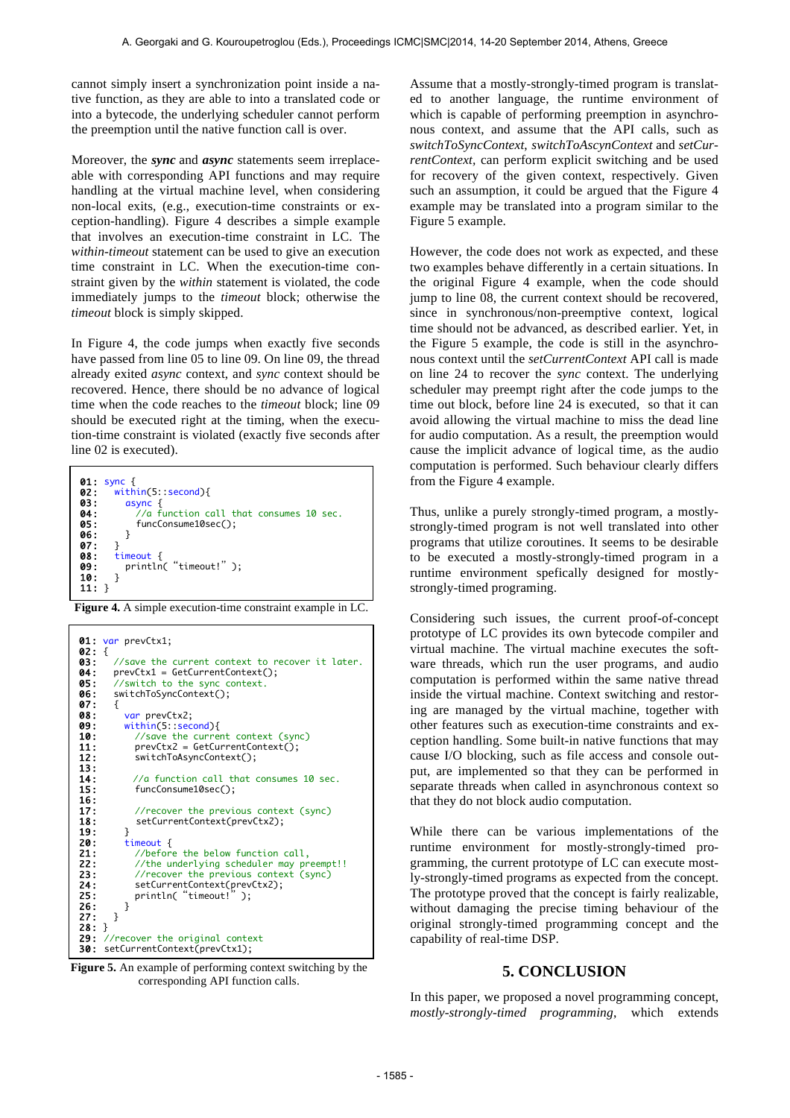cannot simply insert a synchronization point inside a native function, as they are able to into a translated code or into a bytecode, the underlying scheduler cannot perform the preemption until the native function call is over.

Moreover, the *sync* and *async* statements seem irreplaceable with corresponding API functions and may require handling at the virtual machine level, when considering non-local exits, (e.g., execution-time constraints or exception-handling). Figure 4 describes a simple example that involves an execution-time constraint in LC. The *within-timeout* statement can be used to give an execution time constraint in LC. When the execution-time constraint given by the *within* statement is violated, the code immediately jumps to the *timeout* block; otherwise the *timeout* block is simply skipped.

In Figure 4, the code jumps when exactly five seconds have passed from line 05 to line 09. On line 09, the thread already exited *async* context, and *sync* context should be recovered. Hence, there should be no advance of logical time when the code reaches to the *timeout* block; line 09 should be executed right at the timing, when the execution-time constraint is violated (exactly five seconds after line 02 is executed).



 **Figure 4.** A simple execution-time constraint example in LC.



 **Figure 5.** An example of performing context switching by the corresponding API function calls.

Assume that a mostly-strongly-timed program is translated to another language, the runtime environment of which is capable of performing preemption in asynchronous context, and assume that the API calls, such as *switchToSyncContext*, *switchToAscynContext* and *setCurrentContext,* can perform explicit switching and be used for recovery of the given context, respectively. Given such an assumption, it could be argued that the Figure 4 example may be translated into a program similar to the Figure 5 example.

However, the code does not work as expected, and these two examples behave differently in a certain situations. In the original Figure 4 example, when the code should jump to line 08, the current context should be recovered, since in synchronous/non-preemptive context, logical time should not be advanced, as described earlier. Yet, in the Figure 5 example, the code is still in the asynchronous context until the *setCurrentContext* API call is made on line 24 to recover the *sync* context. The underlying scheduler may preempt right after the code jumps to the time out block, before line 24 is executed, so that it can avoid allowing the virtual machine to miss the dead line for audio computation. As a result, the preemption would cause the implicit advance of logical time, as the audio computation is performed. Such behaviour clearly differs from the Figure 4 example.

Thus, unlike a purely strongly-timed program, a mostlystrongly-timed program is not well translated into other programs that utilize coroutines. It seems to be desirable to be executed a mostly-strongly-timed program in a runtime environment spefically designed for mostlystrongly-timed programing.

Considering such issues, the current proof-of-concept prototype of LC provides its own bytecode compiler and virtual machine. The virtual machine executes the software threads, which run the user programs, and audio computation is performed within the same native thread inside the virtual machine. Context switching and restoring are managed by the virtual machine, together with other features such as execution-time constraints and exception handling. Some built-in native functions that may cause I/O blocking, such as file access and console output, are implemented so that they can be performed in separate threads when called in asynchronous context so that they do not block audio computation.

While there can be various implementations of the runtime environment for mostly-strongly-timed programming, the current prototype of LC can execute mostly-strongly-timed programs as expected from the concept. The prototype proved that the concept is fairly realizable, without damaging the precise timing behaviour of the original strongly-timed programming concept and the capability of real-time DSP.

## **5. CONCLUSION**

In this paper, we proposed a novel programming concept, *mostly-strongly-timed programming*, which extends